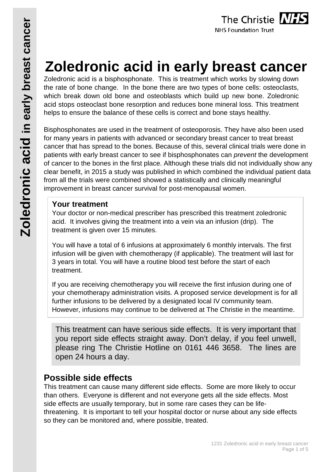

# **Zoledronic acid in early breast cancer**

Zoledronic acid is a bisphosphonate. This is treatment which works by slowing down the rate of bone change. In the bone there are two types of bone cells: osteoclasts, which break down old bone and osteoblasts which build up new bone. Zoledronic acid stops osteoclast bone resorption and reduces bone mineral loss. This treatment helps to ensure the balance of these cells is correct and bone stays healthy.

Bisphosphonates are used in the treatment of osteoporosis. They have also been used for many years in patients with advanced or secondary breast cancer to treat breast cancer that has spread to the bones. Because of this, several clinical trials were done in patients with early breast cancer to see if bisphosphonates can *prevent* the development of cancer to the bones in the first place. Although these trials did not individually show any clear benefit, in 2015 a study was published in which combined the individual patient data from all the trials were combined showed a statistically and clinically meaningful improvement in breast cancer survival for post-menopausal women.

## **Your treatment**

Your doctor or non-medical prescriber has prescribed this treatment zoledronic acid. It involves giving the treatment into a vein via an infusion (drip). The treatment is given over 15 minutes.

You will have a total of 6 infusions at approximately 6 monthly intervals. The first infusion will be given with chemotherapy (if applicable). The treatment will last for 3 years in total. You will have a routine blood test before the start of each treatment.

If you are receiving chemotherapy you will receive the first infusion during one of your chemotherapy administration visits. A proposed service development is for all further infusions to be delivered by a designated local IV community team. However, infusions may continue to be delivered at The Christie in the meantime.

This treatment can have serious side effects. It is very important that you report side effects straight away. Don't delay, if you feel unwell, please ring The Christie Hotline on 0161 446 3658. The lines are open 24 hours a day.

# **Possible side effects**

This treatment can cause many different side effects. Some are more likely to occur than others. Everyone is different and not everyone gets all the side effects. Most side effects are usually temporary, but in some rare cases they can be lifethreatening. It is important to tell your hospital doctor or nurse about any side effects so they can be monitored and, where possible, treated.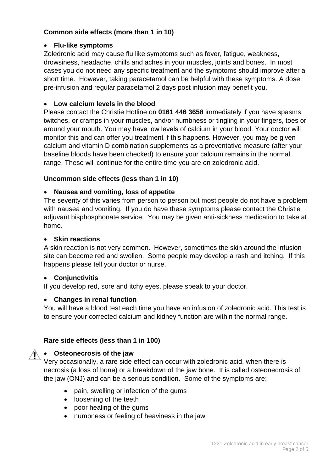#### **Common side effects (more than 1 in 10)**

#### • **Flu-like symptoms**

Zoledronic acid may cause flu like symptoms such as fever, fatigue, weakness, drowsiness, headache, chills and aches in your muscles, joints and bones. In most cases you do not need any specific treatment and the symptoms should improve after a short time. However, taking paracetamol can be helpful with these symptoms. A dose pre-infusion and regular paracetamol 2 days post infusion may benefit you.

#### • **Low calcium levels in the blood**

Please contact the Christie Hotline on **0161 446 3658** immediately if you have spasms, twitches, or cramps in your muscles, and/or numbness or tingling in your fingers, toes or around your mouth. You may have low levels of calcium in your blood. Your doctor will monitor this and can offer you treatment if this happens. However, you may be given calcium and vitamin D combination supplements as a preventative measure (after your baseline bloods have been checked) to ensure your calcium remains in the normal range. These will continue for the entire time you are on zoledronic acid.

#### **Uncommon side effects (less than 1 in 10)**

#### • **Nausea and vomiting, loss of appetite**

The severity of this varies from person to person but most people do not have a problem with nausea and vomiting. If you do have these symptoms please contact the Christie adjuvant bisphosphonate service. You may be given anti-sickness medication to take at home.

#### • **Skin reactions**

A skin reaction is not very common. However, sometimes the skin around the infusion site can become red and swollen. Some people may develop a rash and itching. If this happens please tell your doctor or nurse.

#### • **Conjunctivitis**

If you develop red, sore and itchy eyes, please speak to your doctor.

#### • **Changes in renal function**

You will have a blood test each time you have an infusion of zoledronic acid. This test is to ensure your corrected calcium and kidney function are within the normal range.

#### **Rare side effects (less than 1 in 100)**

#### • **Osteonecrosis of the jaw**

Very occasionally, a rare side effect can occur with zoledronic acid, when there is necrosis (a loss of bone) or a breakdown of the jaw bone. It is called osteonecrosis of the jaw (ONJ) and can be a serious condition. Some of the symptoms are:

- pain, swelling or infection of the gums
- loosening of the teeth
- poor healing of the gums
- numbness or feeling of heaviness in the jaw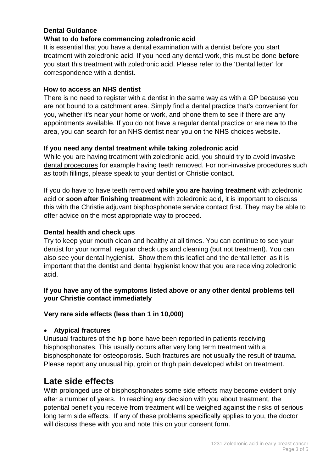#### **Dental Guidance**

#### **What to do before commencing zoledronic acid**

It is essential that you have a dental examination with a dentist before you start treatment with zoledronic acid. If you need any dental work, this must be done **before** you start this treatment with zoledronic acid. Please refer to the 'Dental letter' for correspondence with a dentist.

#### **How to access an NHS dentist**

There is no need to register with a dentist in the same way as with a GP because you are not bound to a catchment area. Simply find a dental practice that's convenient for you, whether it's near your home or work, and phone them to see if there are any appointments available. If you do not have a regular dental practice or are new to the area, you can search for an NHS dentist near you on the NHS choices website**.**

#### **If you need any dental treatment while taking zoledronic acid**

While you are having treatment with zoledronic acid, you should try to avoid invasive dental procedures for example having teeth removed. For non-invasive procedures such as tooth fillings, please speak to your dentist or Christie contact.

If you do have to have teeth removed **while you are having treatment** with zoledronic acid or **soon after finishing treatment** with zoledronic acid, it is important to discuss this with the Christie adjuvant bisphosphonate service contact first. They may be able to offer advice on the most appropriate way to proceed.

#### **Dental health and check ups**

Try to keep your mouth clean and healthy at all times. You can continue to see your dentist for your normal, regular check ups and cleaning (but not treatment). You can also see your dental hygienist. Show them this leaflet and the dental letter, as it is important that the dentist and dental hygienist know that you are receiving zoledronic acid.

#### **If you have any of the symptoms listed above or any other dental problems tell your Christie contact immediately**

#### **Very rare side effects (less than 1 in 10,000)**

#### • **Atypical fractures**

Unusual fractures of the hip bone have been reported in patients receiving bisphosphonates. This usually occurs after very long term treatment with a bisphosphonate for osteoporosis. Such fractures are not usually the result of trauma. Please report any unusual hip, groin or thigh pain developed whilst on treatment.

# **Late side effects**

With prolonged use of bisphosphonates some side effects may become evident only after a number of years. In reaching any decision with you about treatment, the potential benefit you receive from treatment will be weighed against the risks of serious long term side effects. If any of these problems specifically applies to you, the doctor will discuss these with you and note this on your consent form.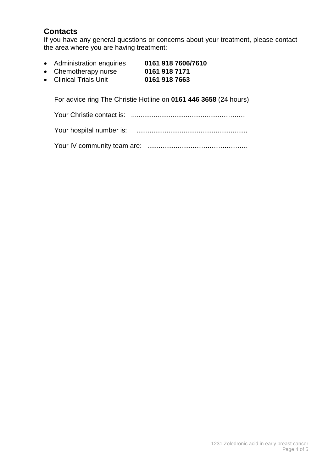# **Contacts**

If you have any general questions or concerns about your treatment, please contact the area where you are having treatment:

- Administration enquiries **0161 918 7606/7610**
- Chemotherapy nurse **0161 918 7171**
- **•** Clinical Trials Unit

For advice ring The Christie Hotline on **0161 446 3658** (24 hours)